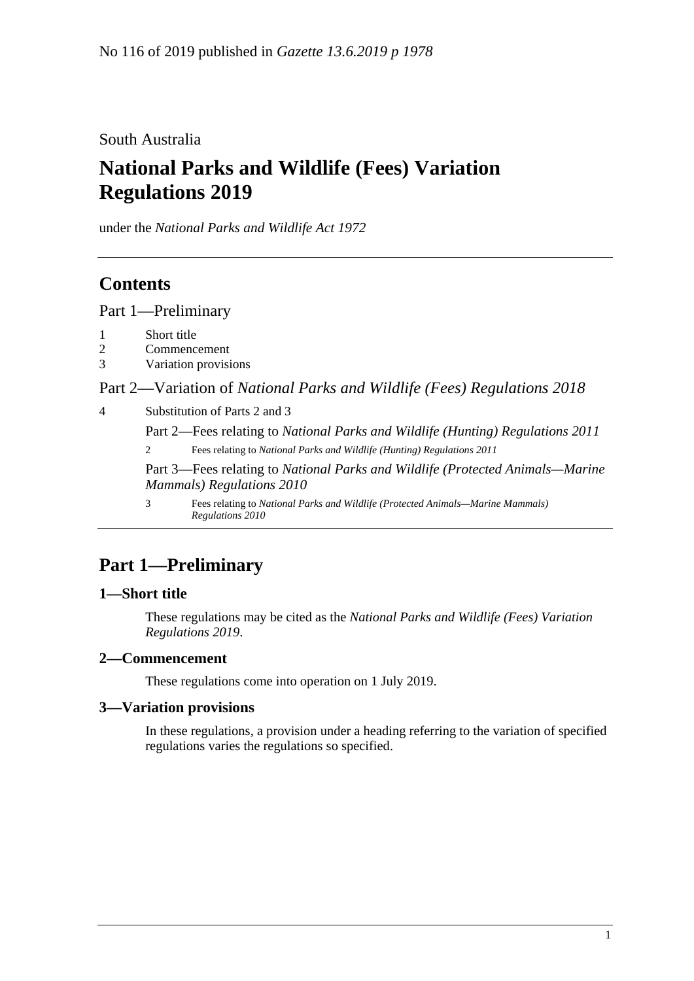South Australia

# **National Parks and Wildlife (Fees) Variation Regulations 2019**

under the *National Parks and Wildlife Act 1972*

# **Contents**

Part [1—Preliminary](#page-0-0)

- 1 [Short title](#page-0-1)
- 2 [Commencement](#page-0-2)
- 3 [Variation provisions](#page-0-3)

Part 2—Variation of *[National Parks and Wildlife \(Fees\) Regulations](#page-1-0) 2018*

4 [Substitution of Parts 2 and 3](#page-1-1)

Part 2—Fees relating to *National Parks and Wildlife (Hunting) Regulations 2011*

2 Fees relating to *National Parks and Wildlife (Hunting) Regulations 2011*

Part 3—Fees relating to *National Parks and Wildlife (Protected Animals—Marine Mammals) Regulations 2010*

3 Fees relating to *National Parks and Wildlife (Protected Animals—Marine Mammals) Regulations 2010*

# <span id="page-0-0"></span>**Part 1—Preliminary**

### <span id="page-0-1"></span>**1—Short title**

These regulations may be cited as the *National Parks and Wildlife (Fees) Variation Regulations 2019*.

#### <span id="page-0-2"></span>**2—Commencement**

These regulations come into operation on 1 July 2019.

### <span id="page-0-3"></span>**3—Variation provisions**

In these regulations, a provision under a heading referring to the variation of specified regulations varies the regulations so specified.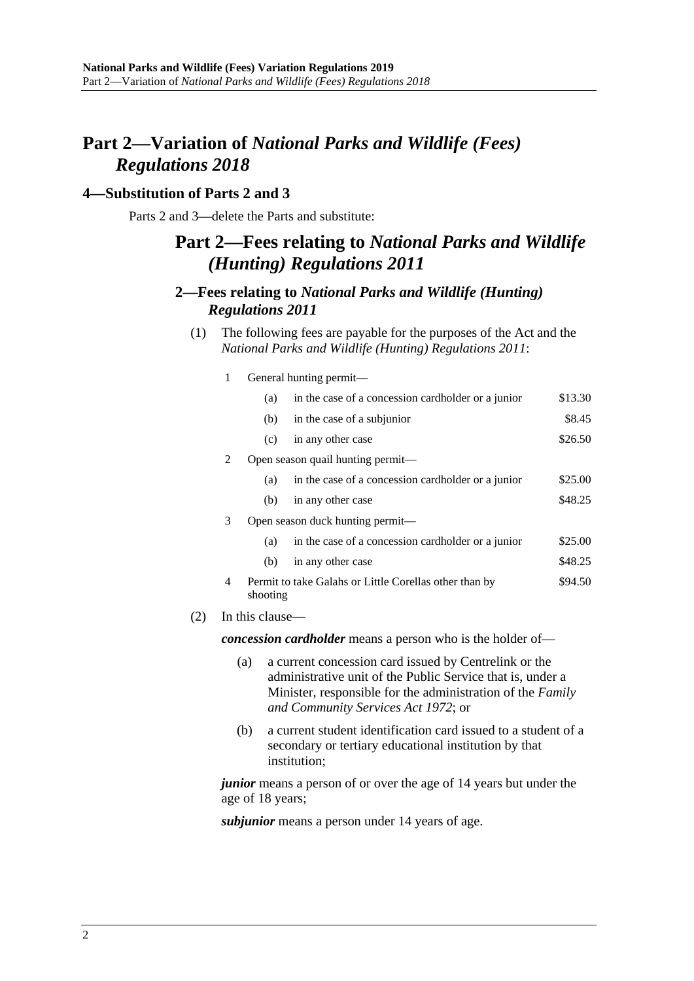# <span id="page-1-0"></span>**Part 2—Variation of** *National Parks and Wildlife (Fees) Regulations 2018*

#### <span id="page-1-1"></span>**4—Substitution of Parts 2 and 3**

 $(2)$ 

Parts 2 and 3—delete the Parts and substitute:

## **Part 2—Fees relating to** *National Parks and Wildlife (Hunting) Regulations 2011*

### **2—Fees relating to** *National Parks and Wildlife (Hunting) Regulations 2011*

- (1) The following fees are payable for the purposes of the Act and the *[National Parks and Wildlife \(Hunting\) Regulations](http://www.legislation.sa.gov.au/index.aspx?action=legref&type=act&legtitle=National%20Parks%20and%20Wildlife%20(Hunting)%20Regulations%202011) 2011*:
	- 1 General hunting permit—

|                                                                   | (a)      | in the case of a concession cardholder or a junior     | \$13.30 |  |  |
|-------------------------------------------------------------------|----------|--------------------------------------------------------|---------|--|--|
|                                                                   | (b)      | in the case of a subjunior                             | \$8.45  |  |  |
|                                                                   | (c)      | in any other case                                      | \$26.50 |  |  |
| $\mathcal{L}$                                                     |          | Open season quail hunting permit—                      |         |  |  |
|                                                                   | (a)      | in the case of a concession cardholder or a junior     | \$25.00 |  |  |
|                                                                   | (b)      | in any other case                                      | \$48.25 |  |  |
| 3                                                                 |          | Open season duck hunting permit—                       |         |  |  |
|                                                                   | (a)      | in the case of a concession cardholder or a junior     | \$25.00 |  |  |
|                                                                   | (b)      | in any other case                                      | \$48.25 |  |  |
| 4                                                                 | shooting | Permit to take Galahs or Little Corellas other than by | \$94.50 |  |  |
| In this clause—                                                   |          |                                                        |         |  |  |
| <i>concession cardholder</i> means a person who is the holder of— |          |                                                        |         |  |  |

- (a) a current concession card issued by Centrelink or the administrative unit of the Public Service that is, under a Minister, responsible for the administration of the *[Family](http://www.legislation.sa.gov.au/index.aspx?action=legref&type=act&legtitle=Family%20and%20Community%20Services%20Act%201972)  [and Community Services Act](http://www.legislation.sa.gov.au/index.aspx?action=legref&type=act&legtitle=Family%20and%20Community%20Services%20Act%201972) 1972*; or
- (b) a current student identification card issued to a student of a secondary or tertiary educational institution by that institution;

*junior* means a person of or over the age of 14 years but under the age of 18 years;

*subjunior* means a person under 14 years of age.